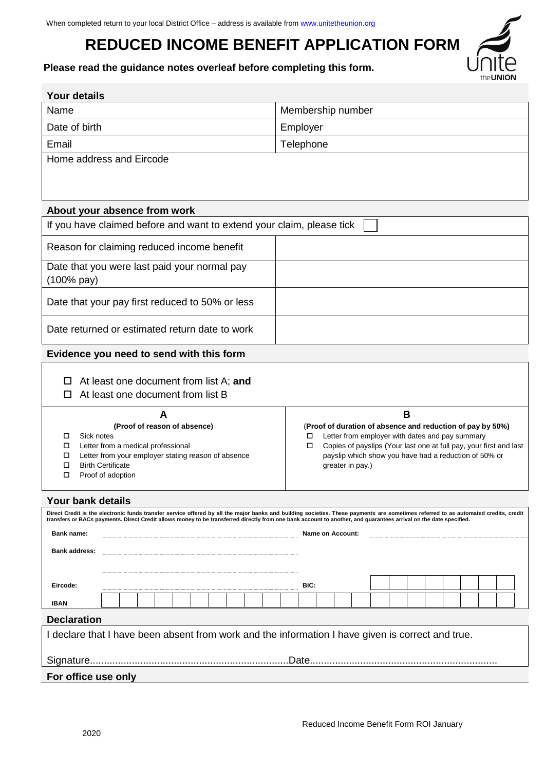# **REDUCED INCOME BENEFIT APPLICATION FORM**

**Please read the guidance notes overleaf before completing this form.** 

| <b>Your details</b>                                                                                                                                               |                                                                                                                                                                                     |  |  |  |
|-------------------------------------------------------------------------------------------------------------------------------------------------------------------|-------------------------------------------------------------------------------------------------------------------------------------------------------------------------------------|--|--|--|
| Name                                                                                                                                                              | Membership number                                                                                                                                                                   |  |  |  |
| Date of birth                                                                                                                                                     | Employer                                                                                                                                                                            |  |  |  |
| Email                                                                                                                                                             | Telephone                                                                                                                                                                           |  |  |  |
| Home address and Eircode                                                                                                                                          |                                                                                                                                                                                     |  |  |  |
|                                                                                                                                                                   |                                                                                                                                                                                     |  |  |  |
|                                                                                                                                                                   |                                                                                                                                                                                     |  |  |  |
| About your absence from work                                                                                                                                      |                                                                                                                                                                                     |  |  |  |
| If you have claimed before and want to extend your claim, please tick                                                                                             |                                                                                                                                                                                     |  |  |  |
| Reason for claiming reduced income benefit                                                                                                                        |                                                                                                                                                                                     |  |  |  |
| Date that you were last paid your normal pay                                                                                                                      |                                                                                                                                                                                     |  |  |  |
| (100% pay)                                                                                                                                                        |                                                                                                                                                                                     |  |  |  |
| Date that your pay first reduced to 50% or less                                                                                                                   |                                                                                                                                                                                     |  |  |  |
| Date returned or estimated return date to work                                                                                                                    |                                                                                                                                                                                     |  |  |  |
| Evidence you need to send with this form                                                                                                                          |                                                                                                                                                                                     |  |  |  |
|                                                                                                                                                                   |                                                                                                                                                                                     |  |  |  |
| At least one document from list A; and<br>At least one document from list B                                                                                       |                                                                                                                                                                                     |  |  |  |
|                                                                                                                                                                   |                                                                                                                                                                                     |  |  |  |
| A<br>(Proof of reason of absence)                                                                                                                                 | B<br>(Proof of duration of absence and reduction of pay by 50%)                                                                                                                     |  |  |  |
| Sick notes<br>Letter from employer with dates and pay summary<br>◻<br>□                                                                                           |                                                                                                                                                                                     |  |  |  |
| Letter from a medical professional<br>$\Box$<br>Letter from your employer stating reason of absence<br>□                                                          | Copies of payslips (Your last one at full pay, your first and last<br>□<br>payslip which show you have had a reduction of 50% or                                                    |  |  |  |
| <b>Birth Certificate</b><br>□                                                                                                                                     | greater in pay.)                                                                                                                                                                    |  |  |  |
| Proof of adoption<br>□                                                                                                                                            |                                                                                                                                                                                     |  |  |  |
| Your bank details                                                                                                                                                 |                                                                                                                                                                                     |  |  |  |
| transfers or BACs payments. Direct Credit allows money to be transferred directly from one bank account to another, and guarantees arrival on the date specified. | Direct Credit is the electronic funds transfer service offered by all the major banks and building societies. These payments are sometimes referred to as automated credits, credit |  |  |  |
| <b>Bank name:</b>                                                                                                                                                 | <b>Name on Account:</b>                                                                                                                                                             |  |  |  |
| <b>Bank address:</b>                                                                                                                                              |                                                                                                                                                                                     |  |  |  |
|                                                                                                                                                                   |                                                                                                                                                                                     |  |  |  |
| Eircode:                                                                                                                                                          | BIC:                                                                                                                                                                                |  |  |  |
| IBAN                                                                                                                                                              |                                                                                                                                                                                     |  |  |  |
| <b>Declaration</b>                                                                                                                                                |                                                                                                                                                                                     |  |  |  |
| I declare that I have been absent from work and the information I have given is correct and true.                                                                 |                                                                                                                                                                                     |  |  |  |
|                                                                                                                                                                   |                                                                                                                                                                                     |  |  |  |
| For office use only                                                                                                                                               |                                                                                                                                                                                     |  |  |  |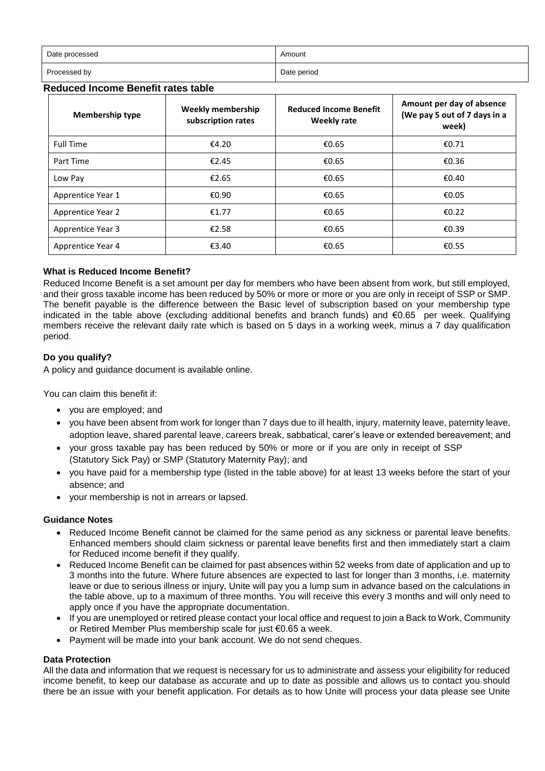| Date processed | Amount      |
|----------------|-------------|
| Processed by   | Date period |

## **Reduced Income Benefit rates table**

| <b>Membership type</b>   | <b>Weekly membership</b><br>subscription rates | <b>Reduced Income Benefit</b><br><b>Weekly rate</b> | Amount per day of absence<br>(We pay 5 out of 7 days in a<br>week) |
|--------------------------|------------------------------------------------|-----------------------------------------------------|--------------------------------------------------------------------|
| <b>Full Time</b>         | €4.20                                          | €0.65                                               | €0.71                                                              |
| Part Time                | €2.45                                          | €0.65                                               | £0.36                                                              |
| Low Pay                  | €2.65                                          | €0.65                                               | €0.40                                                              |
| Apprentice Year 1        | €0.90                                          | €0.65                                               | €0.05                                                              |
| <b>Apprentice Year 2</b> | €1.77                                          | €0.65                                               | €0.22                                                              |
| Apprentice Year 3        | €2.58                                          | €0.65                                               | €0.39                                                              |
| Apprentice Year 4        | €3.40                                          | €0.65                                               | €0.55                                                              |

### **What is Reduced Income Benefit?**

Reduced Income Benefit is a set amount per day for members who have been absent from work, but still employed, and their gross taxable income has been reduced by 50% or more or more or you are only in receipt of SSP or SMP. The benefit payable is the difference between the Basic level of subscription based on your membership type indicated in the table above (excluding additional benefits and branch funds) and €0.65 per week. Qualifying members receive the relevant daily rate which is based on 5 days in a working week, minus a 7 day qualification period.

## **Do you qualify?**

A policy and guidance document is available online.

You can claim this benefit if:

- you are employed; and
- you have been absent from work for longer than 7 days due to ill health, injury, maternity leave, paternity leave, adoption leave, shared parental leave, careers break, sabbatical, carer's leave or extended bereavement; and
- your gross taxable pay has been reduced by 50% or more or if you are only in receipt of SSP (Statutory Sick Pay) or SMP (Statutory Maternity Pay); and
- you have paid for a membership type (listed in the table above) for at least 13 weeks before the start of your absence; and
- your membership is not in arrears or lapsed.

### **Guidance Notes**

- Reduced Income Benefit cannot be claimed for the same period as any sickness or parental leave benefits. Enhanced members should claim sickness or parental leave benefits first and then immediately start a claim for Reduced income benefit if they qualify.
- Reduced Income Benefit can be claimed for past absences within 52 weeks from date of application and up to 3 months into the future. Where future absences are expected to last for longer than 3 months, i.e. maternity leave or due to serious illness or injury, Unite will pay you a lump sum in advance based on the calculations in the table above, up to a maximum of three months. You will receive this every 3 months and will only need to apply once if you have the appropriate documentation.
- If you are unemployed or retired please contact your local office and request to join a Back to Work, Community or Retired Member Plus membership scale for just €0.65 a week.
- Payment will be made into your bank account. We do not send cheques.

### **Data Protection**

All the data and information that we request is necessary for us to administrate and assess your eligibility for reduced income benefit, to keep our database as accurate and up to date as possible and allows us to contact you should there be an issue with your benefit application. For details as to how Unite will process your data please see Unite